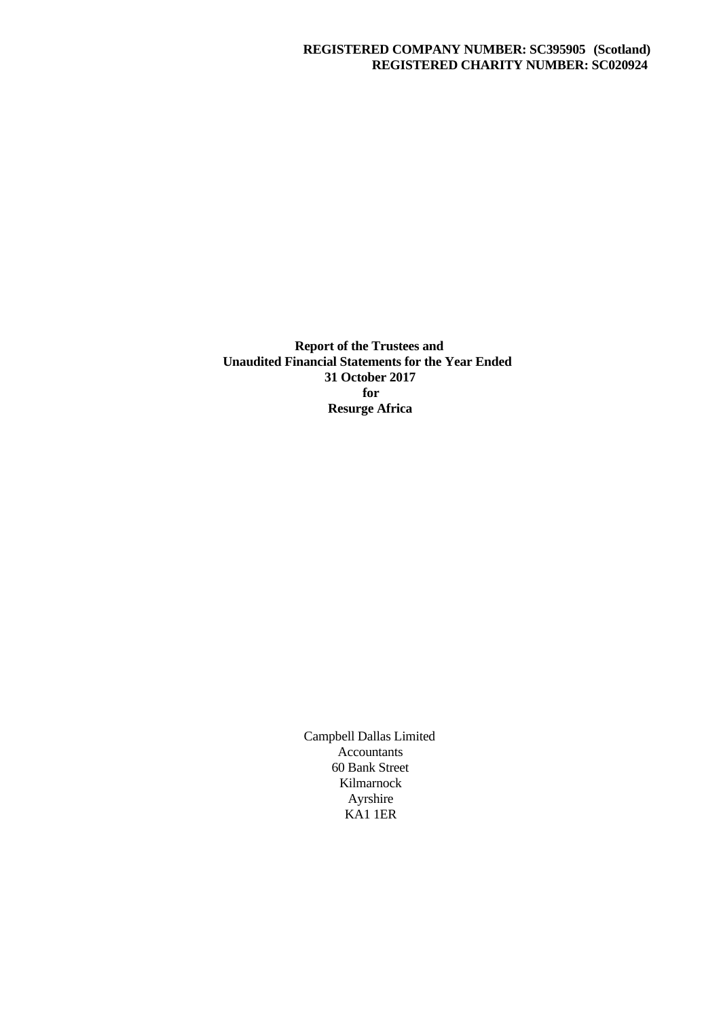# **REGISTERED COMPANY NUMBER: SC395905 (Scotland) REGISTERED CHARITY NUMBER: SC020924**

**Report of the Trustees and Unaudited Financial Statements for the Year Ended 31 October 2017 for Resurge Africa**

> Campbell Dallas Limited Accountants 60 Bank Street Kilmarnock Ayrshire KA1 1ER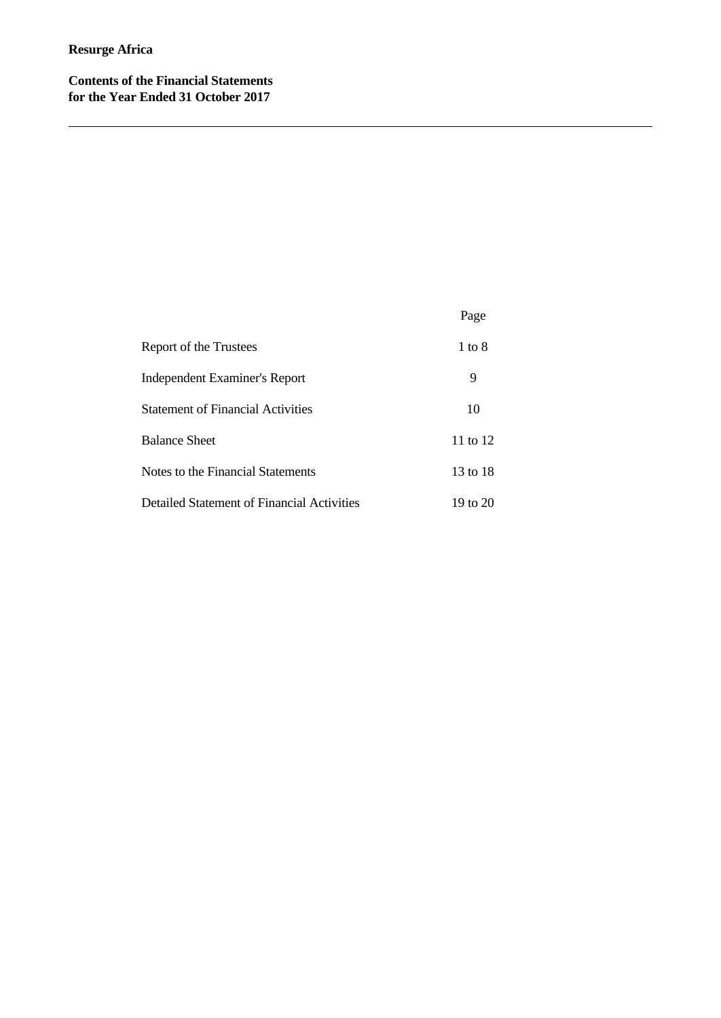**Contents of the Financial Statements for the Year Ended 31 October 2017**

# Page Report of the Trustees 1 to 8 Independent Examiner's Report 9 Statement of Financial Activities 10 Balance Sheet 11 to 12 Notes to the Financial Statements 13 to 18 Detailed Statement of Financial Activities 19 to 20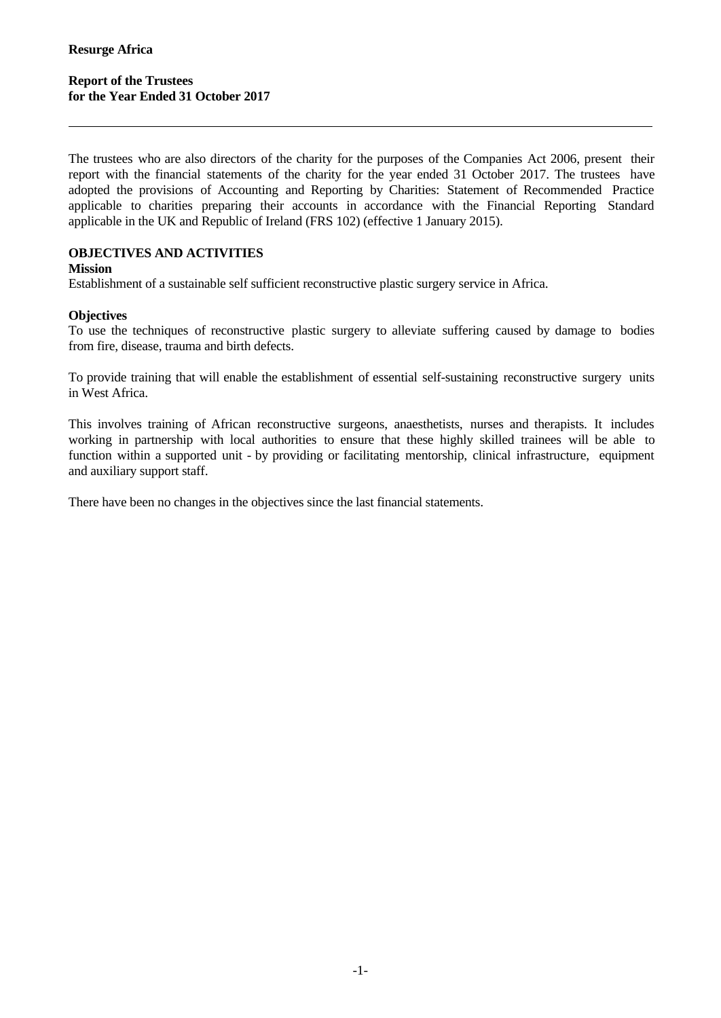The trustees who are also directors of the charity for the purposes of the Companies Act 2006, present their report with the financial statements of the charity for the year ended 31 October 2017. The trustees have adopted the provisions of Accounting and Reporting by Charities: Statement of Recommended Practice applicable to charities preparing their accounts in accordance with the Financial Reporting Standard applicable in the UK and Republic of Ireland (FRS 102) (effective 1 January 2015).

# **OBJECTIVES AND ACTIVITIES**

#### **Mission**

Establishment of a sustainable self sufficient reconstructive plastic surgery service in Africa.

## **Objectives**

To use the techniques of reconstructive plastic surgery to alleviate suffering caused by damage to bodies from fire, disease, trauma and birth defects.

To provide training that will enable the establishment of essential self-sustaining reconstructive surgery units in West Africa.

This involves training of African reconstructive surgeons, anaesthetists, nurses and therapists. It includes working in partnership with local authorities to ensure that these highly skilled trainees will be able to function within a supported unit - by providing or facilitating mentorship, clinical infrastructure, equipment and auxiliary support staff.

There have been no changes in the objectives since the last financial statements.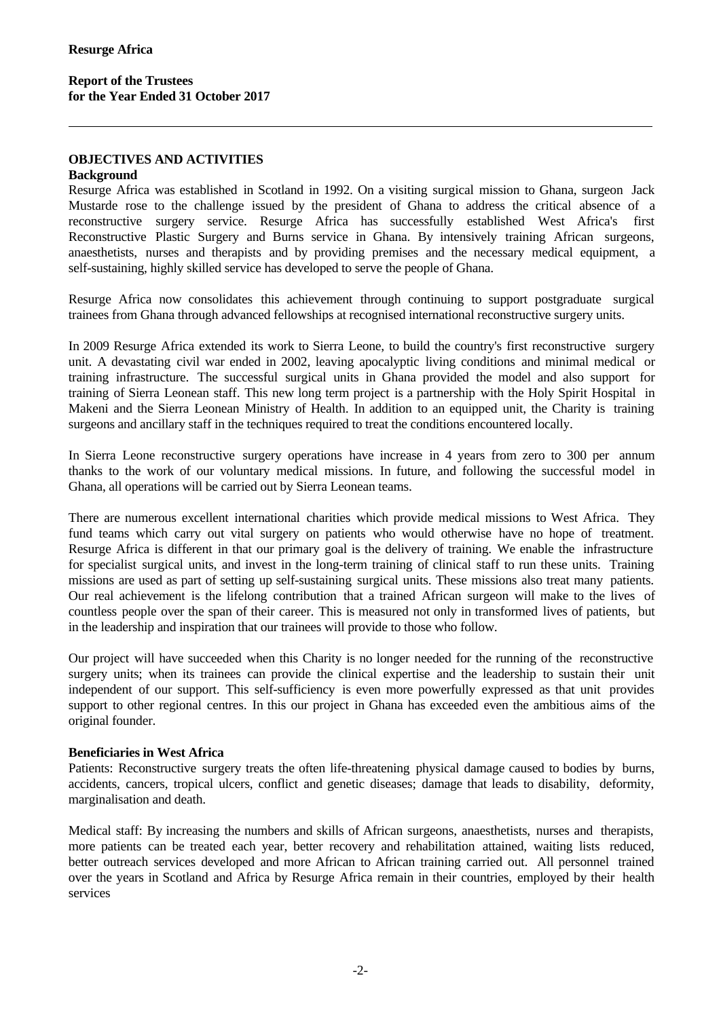# **Report of the Trustees for the Year Ended 31 October 2017**

### **OBJECTIVES AND ACTIVITIES**

#### **Background**

Resurge Africa was established in Scotland in 1992. On a visiting surgical mission to Ghana, surgeon Jack Mustarde rose to the challenge issued by the president of Ghana to address the critical absence of a reconstructive surgery service. Resurge Africa has successfully established West Africa's first Reconstructive Plastic Surgery and Burns service in Ghana. By intensively training African surgeons, anaesthetists, nurses and therapists and by providing premises and the necessary medical equipment, a self-sustaining, highly skilled service has developed to serve the people of Ghana.

Resurge Africa now consolidates this achievement through continuing to support postgraduate surgical trainees from Ghana through advanced fellowships at recognised international reconstructive surgery units.

In 2009 Resurge Africa extended its work to Sierra Leone, to build the country's first reconstructive surgery unit. A devastating civil war ended in 2002, leaving apocalyptic living conditions and minimal medical or training infrastructure. The successful surgical units in Ghana provided the model and also support for training of Sierra Leonean staff. This new long term project is a partnership with the Holy Spirit Hospital in Makeni and the Sierra Leonean Ministry of Health. In addition to an equipped unit, the Charity is training surgeons and ancillary staff in the techniques required to treat the conditions encountered locally.

In Sierra Leone reconstructive surgery operations have increase in 4 years from zero to 300 per annum thanks to the work of our voluntary medical missions. In future, and following the successful model in Ghana, all operations will be carried out by Sierra Leonean teams.

There are numerous excellent international charities which provide medical missions to West Africa. They fund teams which carry out vital surgery on patients who would otherwise have no hope of treatment. Resurge Africa is different in that our primary goal is the delivery of training. We enable the infrastructure for specialist surgical units, and invest in the long-term training of clinical staff to run these units. Training missions are used as part of setting up self-sustaining surgical units. These missions also treat many patients. Our real achievement is the lifelong contribution that a trained African surgeon will make to the lives of countless people over the span of their career. This is measured not only in transformed lives of patients, but in the leadership and inspiration that our trainees will provide to those who follow.

Our project will have succeeded when this Charity is no longer needed for the running of the reconstructive surgery units; when its trainees can provide the clinical expertise and the leadership to sustain their unit independent of our support. This self-sufficiency is even more powerfully expressed as that unit provides support to other regional centres. In this our project in Ghana has exceeded even the ambitious aims of the original founder.

#### **Beneficiaries in West Africa**

Patients: Reconstructive surgery treats the often life-threatening physical damage caused to bodies by burns, accidents, cancers, tropical ulcers, conflict and genetic diseases; damage that leads to disability, deformity, marginalisation and death.

Medical staff: By increasing the numbers and skills of African surgeons, anaesthetists, nurses and therapists, more patients can be treated each year, better recovery and rehabilitation attained, waiting lists reduced, better outreach services developed and more African to African training carried out. All personnel trained over the years in Scotland and Africa by Resurge Africa remain in their countries, employed by their health services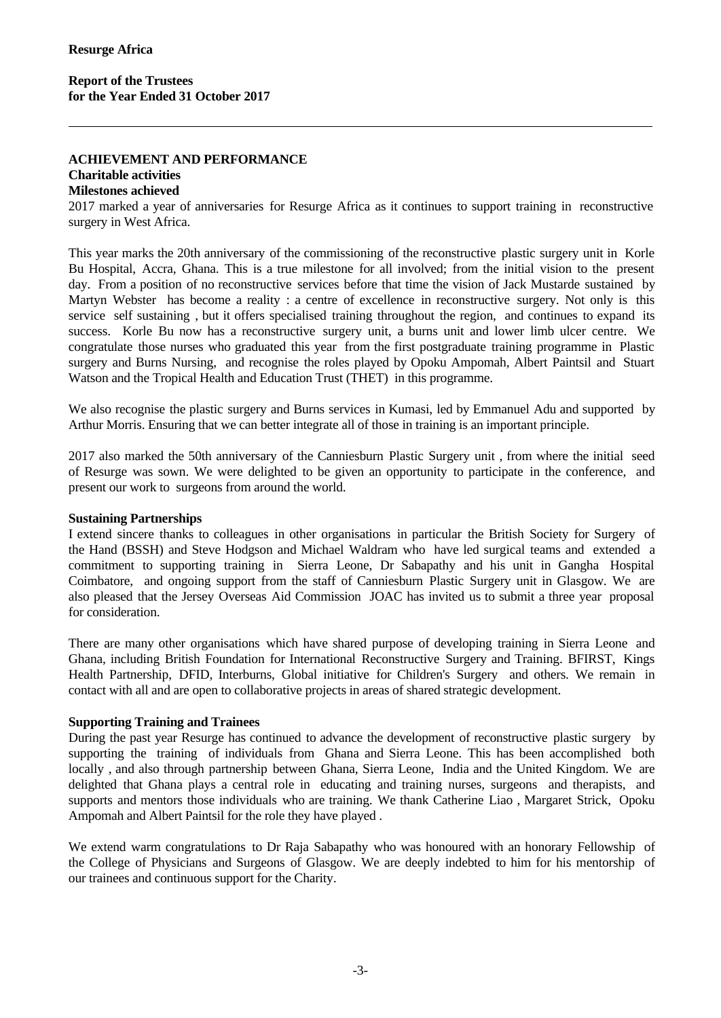### **ACHIEVEMENT AND PERFORMANCE**

# **Charitable activities**

# **Milestones achieved**

2017 marked a year of anniversaries for Resurge Africa as it continues to support training in reconstructive surgery in West Africa.

This year marks the 20th anniversary of the commissioning of the reconstructive plastic surgery unit in Korle Bu Hospital, Accra, Ghana. This is a true milestone for all involved; from the initial vision to the present day. From a position of no reconstructive services before that time the vision of Jack Mustarde sustained by Martyn Webster has become a reality : a centre of excellence in reconstructive surgery. Not only is this service self sustaining, but it offers specialised training throughout the region, and continues to expand its success. Korle Bu now has a reconstructive surgery unit, a burns unit and lower limb ulcer centre. We congratulate those nurses who graduated this year from the first postgraduate training programme in Plastic surgery and Burns Nursing, and recognise the roles played by Opoku Ampomah, Albert Paintsil and Stuart Watson and the Tropical Health and Education Trust (THET) in this programme.

We also recognise the plastic surgery and Burns services in Kumasi, led by Emmanuel Adu and supported by Arthur Morris. Ensuring that we can better integrate all of those in training is an important principle.

2017 also marked the 50th anniversary of the Canniesburn Plastic Surgery unit , from where the initial seed of Resurge was sown. We were delighted to be given an opportunity to participate in the conference, and present our work to surgeons from around the world.

#### **Sustaining Partnerships**

I extend sincere thanks to colleagues in other organisations in particular the British Society for Surgery of the Hand (BSSH) and Steve Hodgson and Michael Waldram who have led surgical teams and extended a commitment to supporting training in Sierra Leone, Dr Sabapathy and his unitin Gangha Hospital Coimbatore, and ongoing support from the staff of Canniesburn Plastic Surgery unit in Glasgow. We are also pleased that the Jersey Overseas Aid Commission JOAC has invited us to submit a three year proposal for consideration.

There are many other organisations which have shared purpose of developing training in Sierra Leone and Ghana, including British Foundation for International Reconstructive Surgery and Training. BFIRST, Kings Health Partnership, DFID, Interburns, Global initiative for Children's Surgery and others. We remain in contact with all and are open to collaborative projects in areas of shared strategic development.

# **Supporting Training and Trainees**

During the past year Resurge has continued to advance the development of reconstructive plastic surgery by supporting the training of individuals from Ghana and Sierra Leone. This has been accomplished both locally , and also through partnership between Ghana, Sierra Leone, India and the United Kingdom. We are delighted that Ghana plays a central role in educating and training nurses, surgeons and therapists, and supports and mentors those individuals who are training. We thank Catherine Liao , Margaret Strick, Opoku Ampomah and Albert Paintsil for the role they have played .

We extend warm congratulations to Dr Raja Sabapathy who was honoured with an honorary Fellowship of the College of Physicians and Surgeons of Glasgow. We are deeply indebted to him for his mentorship of our trainees and continuous support for the Charity.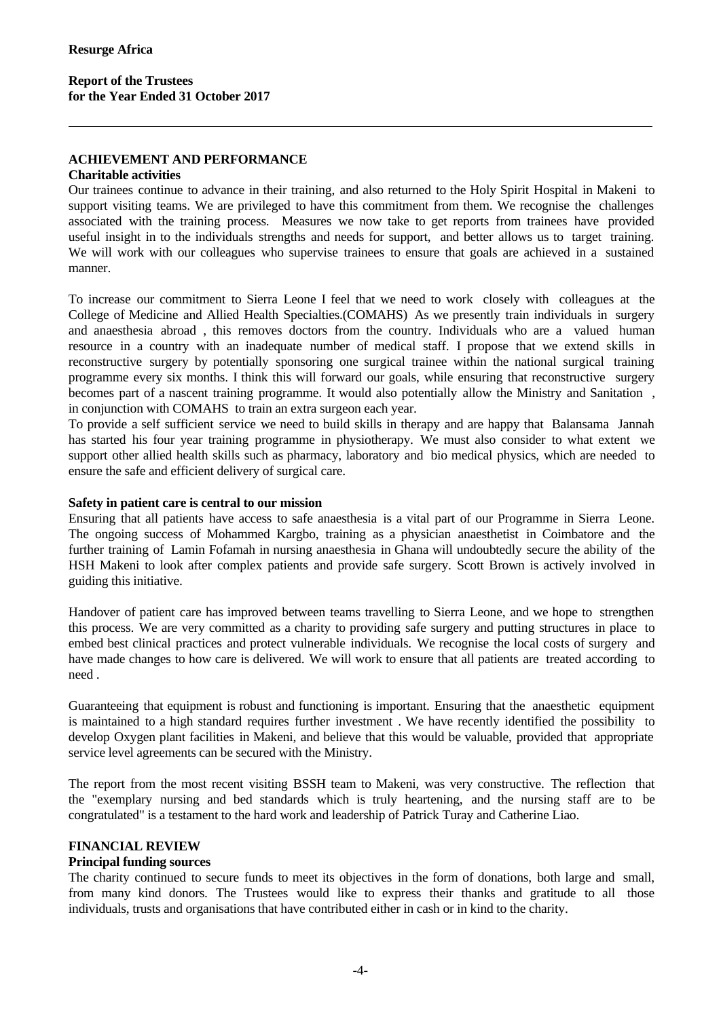# **Report of the Trustees for the Year Ended 31 October 2017**

## **ACHIEVEMENT AND PERFORMANCE**

#### **Charitable activities**

Our trainees continue to advance in their training, and also returned to the Holy Spirit Hospital in Makeni to support visiting teams. We are privileged to have this commitment from them. We recognise the challenges associated with the training process. Measures we now take to get reports from trainees have provided useful insight in to the individuals strengths and needs for support, and better allows us to target training. We will work with our colleagues who supervise trainees to ensure that goals are achieved in a sustained manner.

To increase our commitment to Sierra Leone I feel that we need to work closely with colleagues at the College of Medicine and Allied Health Specialties.(COMAHS) As we presently train individuals in surgery and anaesthesia abroad , this removes doctors from the country.Individuals who are a valued human resource in a country with an inadequate number of medical staff. I propose that we extend skills in reconstructive surgery by potentially sponsoring one surgical trainee within the national surgical training programme every six months. I think this will forward our goals, while ensuring that reconstructive surgery becomes part of a nascent training programme. It would also potentially allow the Ministry and Sanitation. in conjunction with COMAHS to train an extra surgeon each year.

To provide a self sufficient service we need to build skills in therapy and are happy that Balansama Jannah has started his four year training programme in physiotherapy. We must also consider to what extent we support other allied health skills such as pharmacy, laboratory and bio medical physics, which are needed to ensure the safe and efficient delivery of surgical care.

#### **Safety in patient care is central to our mission**

Ensuring that all patients have access to safe anaesthesia isa vital part of our Programme in Sierra Leone. The ongoing success of Mohammed Kargbo, training as a physician anaesthetist in Coimbatore and the further training of Lamin Fofamah in nursing anaesthesia in Ghana will undoubtedly secure the ability of the HSH Makeni to look after complex patients and provide safe surgery. Scott Brown is actively involved in guiding this initiative.

Handover of patient care has improved between teams travelling to Sierra Leone, and we hope to strengthen this process. We are very committed as a charity to providing safe surgery and putting structures in place to embed best clinical practices and protect vulnerable individuals. We recognise the local costs of surgery and have made changes to how care is delivered. We will work to ensure that all patients are treated according to need .

Guaranteeing that equipment is robust and functioning is important. Ensuring that the anaesthetic equipment is maintained to a high standard requires further investment . We have recently identified the possibility to develop Oxygen plant facilities in Makeni, and believe that this would be valuable, provided that appropriate service level agreements can be secured with the Ministry.

The report from the most recent visiting BSSH team to Makeni, was very constructive. The reflection that the "exemplary nursing and bed standards which is truly heartening, and the nursing staff are to be congratulated" is a testament to the hard work and leadership of Patrick Turay and Catherine Liao.

#### **FINANCIAL REVIEW**

#### **Principal funding sources**

The charity continued to secure funds to meet its objectives in the form of donations, both large and small, from many kind donors. The Trustees would like to express their thanks and gratitude to all those individuals, trusts and organisations that have contributed either in cash or in kind to the charity.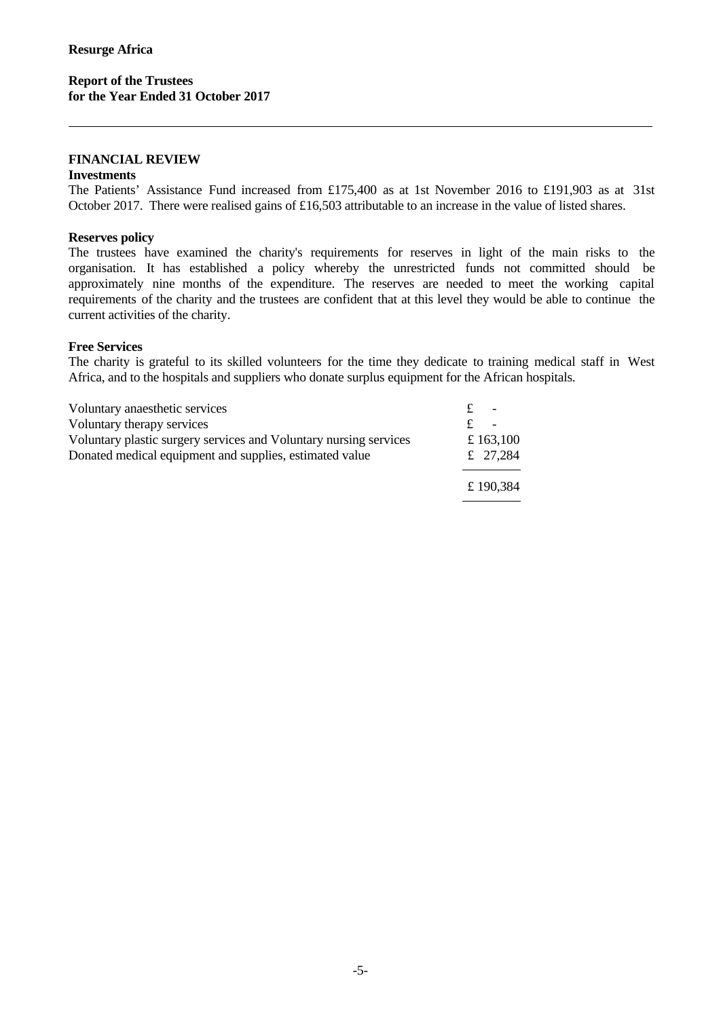## **Report of the Trustees for the Year Ended 31 October 2017**

#### **FINANCIAL REVIEW**

#### **Investments**

The Patients' Assistance Fund increased from £175,400 as at 1st November 2016 to £191,903 as at 31st October 2017. There were realised gains of £16,503 attributable to an increase in the value of listed shares.

#### **Reserves policy**

The trustees have examined the charity's requirements for reserves in light of the main risks to the organisation. It has established a policy whereby the unrestricted funds not committed should be approximately nine months of the expenditure. The reserves are needed to meet the working capital requirements of the charity and the trustees are confident that at this level they would be able to continue the current activities of the charity.

## **Free Services**

The charity is grateful to its skilled volunteers for the time they dedicate to training medical staff in West Africa, and to the hospitals and suppliers who donate surplus equipment for the African hospitals.

| Voluntary anaesthetic services                                    | $\overline{\phantom{0}}$ |
|-------------------------------------------------------------------|--------------------------|
| Voluntary therapy services                                        |                          |
| Voluntary plastic surgery services and Voluntary nursing services | £ 163,100                |
| Donated medical equipment and supplies, estimated value           | £ 27,284                 |
|                                                                   | £190,384                 |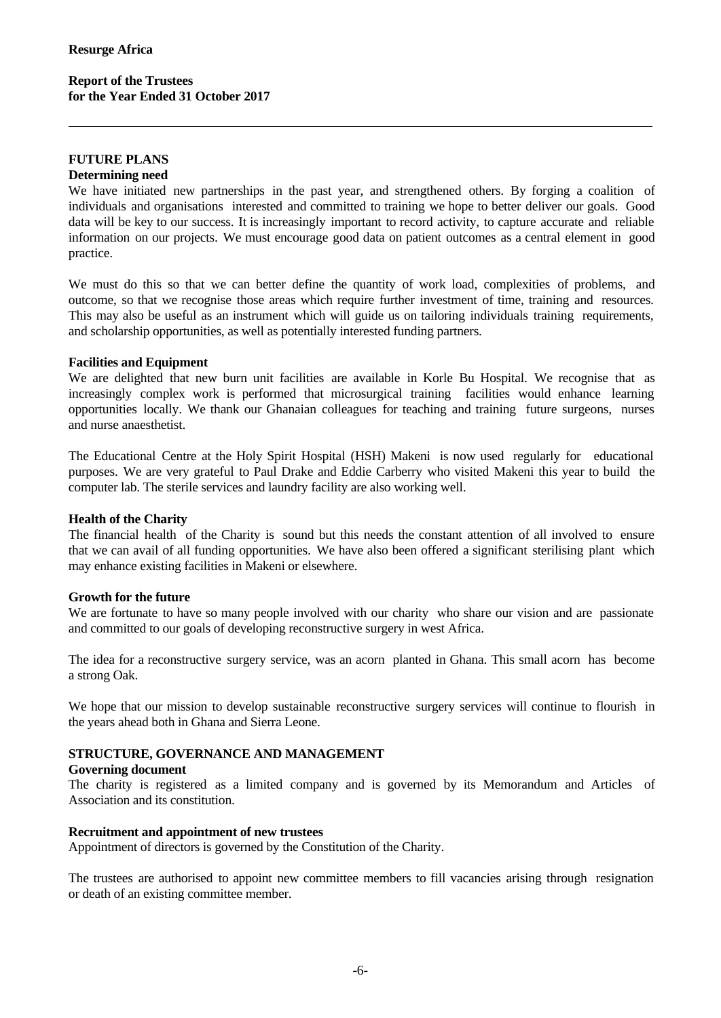#### **FUTURE PLANS**

#### **Determining need**

We have initiated new partnerships in the past year, and strengthened others. By forging a coalition of individuals and organisations interested and committed to training we hope to better deliver our goals. Good data will be key to our success. It is increasingly important to record activity, to capture accurate and reliable information on our projects. We must encourage good data on patient outcomes as a central element in good practice.

We must do this so that we can better define the quantity of work load, complexities of problems, and outcome, so that we recognise those areas which require further investment of time, training and resources. This may also be useful as an instrument which will guide us on tailoring individuals training requirements, and scholarship opportunities, as well as potentially interested funding partners.

#### **Facilities and Equipment**

We are delighted that new burn unit facilities are available in Korle Bu Hospital. We recognise that as increasingly complex work is performed that microsurgical training facilities would enhance learning opportunities locally. We thank our Ghanaian colleagues for teaching and training future surgeons, nurses and nurse anaesthetist.

The Educational Centre at the Holy Spirit Hospital (HSH) Makeni is now used regularly for educational purposes. We are very grateful to Paul Drake and Eddie Carberry who visited Makeni this year to build the computer lab. The sterile services and laundry facility are also working well.

#### **Health of the Charity**

The financial health of the Charity is sound but this needs the constant attention of all involved to ensure that we can avail of all funding opportunities. We have also been offered a significant sterilising plant which may enhance existing facilities in Makeni or elsewhere.

#### **Growth for the future**

We are fortunate to have so many people involved with our charity who share our vision and are passionate and committed to our goals of developing reconstructive surgery in west Africa.

The idea for a reconstructive surgery service, was an acorn planted in Ghana. This small acorn has become a strong Oak.

We hope that our mission to develop sustainable reconstructive surgery services will continue to flourish in the years ahead both in Ghana and Sierra Leone.

## **STRUCTURE, GOVERNANCE AND MANAGEMENT**

#### **Governing document**

The charity is registered as a limited company and is governed by its Memorandum and Articles of Association and its constitution.

#### **Recruitment and appointment of new trustees**

Appointment of directors is governed by the Constitution of the Charity.

The trustees are authorised to appoint new committee members to fill vacancies arising through resignation or death of an existing committee member.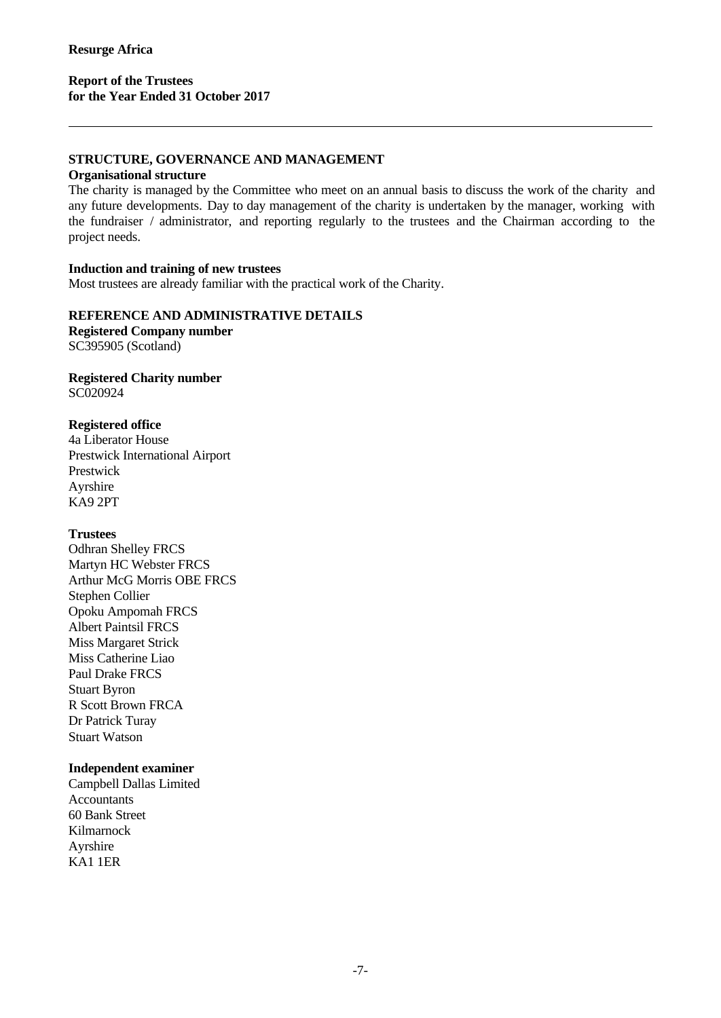# **Report of the Trustees for the Year Ended 31 October 2017**

## **STRUCTURE, GOVERNANCE AND MANAGEMENT**

#### **Organisational structure**

The charity is managed by the Committee who meet on an annual basis to discuss the work of the charity and any future developments. Day to day management of the charity is undertaken by the manager, working with the fundraiser / administrator, and reporting regularly to the trustees and the Chairman according to the project needs.

#### **Induction and training of new trustees**

Most trustees are already familiar with the practical work of the Charity.

## **REFERENCE AND ADMINISTRATIVE DETAILS**

**Registered Company number** SC395905 (Scotland)

## **Registered Charity number** SC020924

#### **Registered office**

4a Liberator House Prestwick International Airport Prestwick Ayrshire KA9 2PT

#### **Trustees**

Odhran Shelley FRCS Martyn HC Webster FRCS Arthur McG Morris OBE FRCS Stephen Collier Opoku Ampomah FRCS Albert Paintsil FRCS Miss Margaret Strick Miss Catherine Liao Paul Drake FRCS Stuart Byron R Scott Brown FRCA Dr Patrick Turay Stuart Watson

#### **Independent examiner**

Campbell Dallas Limited **Accountants** 60 Bank Street Kilmarnock Ayrshire KA1 1ER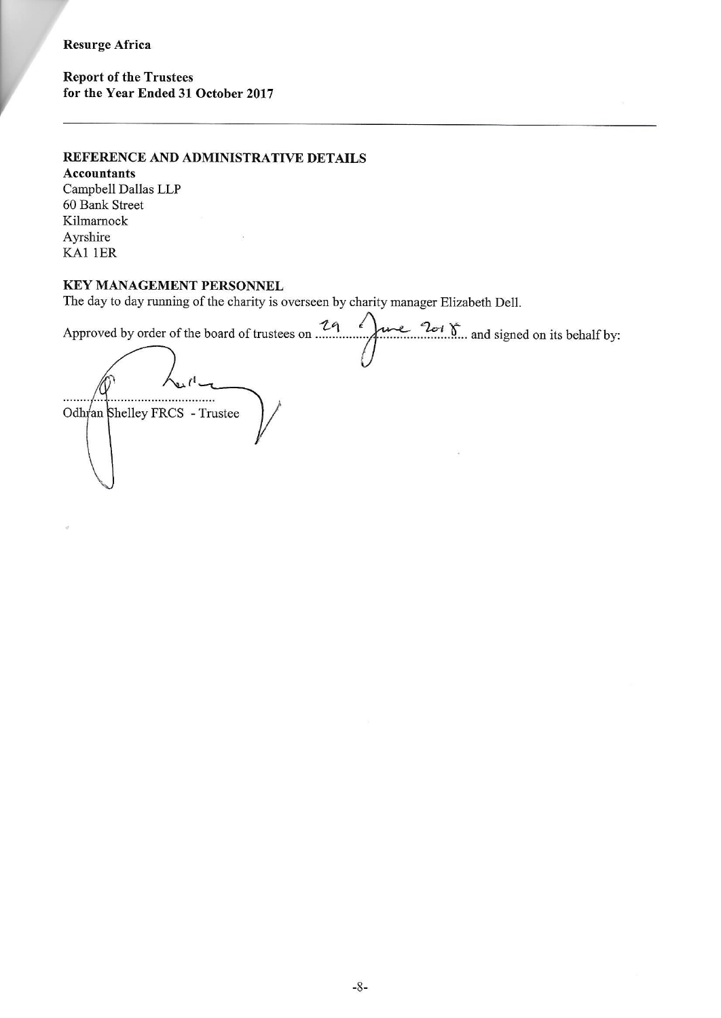## **Resurge Africa**

**Report of the Trustees** for the Year Ended 31 October 2017

# REFERENCE AND ADMINISTRATIVE DETAILS

**Accountants** Campbell Dallas LLP 60 Bank Street Kilmarnock Ayrshire KA1 1ER

# **KEY MANAGEMENT PERSONNEL**

The day to day running of the charity is overseen by charity manager Elizabeth Dell.

29  $\epsilon$  $2ct \sum_{1}$  and signed on its behalf by: Approved by order of the board of trustees on ...... ..... Odhran Shelley FRCS - Trustee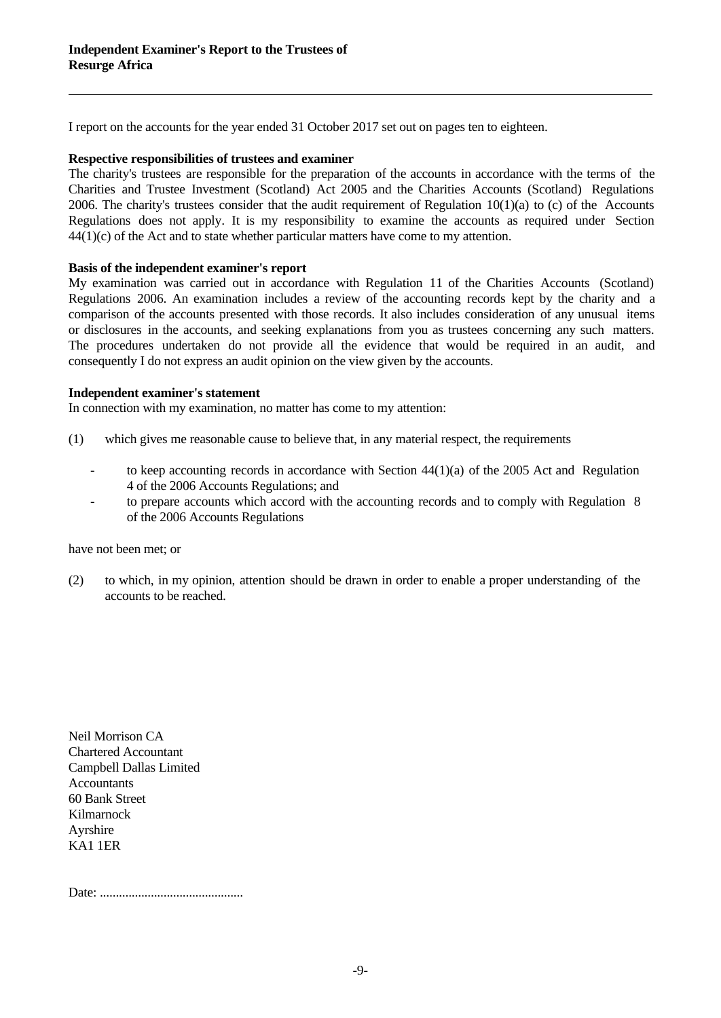I report on the accounts for the year ended 31 October 2017 set out on pages ten to eighteen.

#### **Respective responsibilities of trustees and examiner**

The charity's trustees are responsible for the preparation of the accounts in accordance with the terms of the Charities and Trustee Investment (Scotland) Act 2005 and the Charities Accounts (Scotland) Regulations 2006. The charity's trustees consider that the audit requirement of Regulation  $10(1)(a)$  to (c) of the Accounts Regulations does not apply. It is my responsibility to examine the accounts as required under Section 44(1)(c) of the Act and to state whether particular matters have come to my attention.

#### **Basis of the independent examiner's report**

My examination was carried out in accordance with Regulation 11 of the Charities Accounts (Scotland) Regulations 2006.An examination includes a review of the accounting records kept by the charity and a comparison of the accounts presented with those records. It also includes consideration of any unusual items or disclosures in the accounts, and seeking explanations from you as trustees concerning any such matters. The procedures undertaken do not provide all the evidence that would be required in an audit, and consequently I do not express an audit opinion on the view given by the accounts.

## **Independent examiner's statement**

In connection with my examination, no matter has come to my attention:

- (1) which gives me reasonable cause to believe that, in any material respect, the requirements
	- to keep accounting records in accordance with Section 44(1)(a) of the 2005 Act and Regulation 4 of the 2006 Accounts Regulations; and
	- to prepare accounts which accord with the accounting records and to comply with Regulation 8 of the 2006 Accounts Regulations

have not been met; or

(2) to which, in my opinion, attention should be drawn in order to enable a proper understanding of the accounts to be reached.

Neil Morrison CA Chartered Accountant Campbell Dallas Limited **Accountants** 60 Bank Street Kilmarnock Ayrshire KA1 1ER

Date: .............................................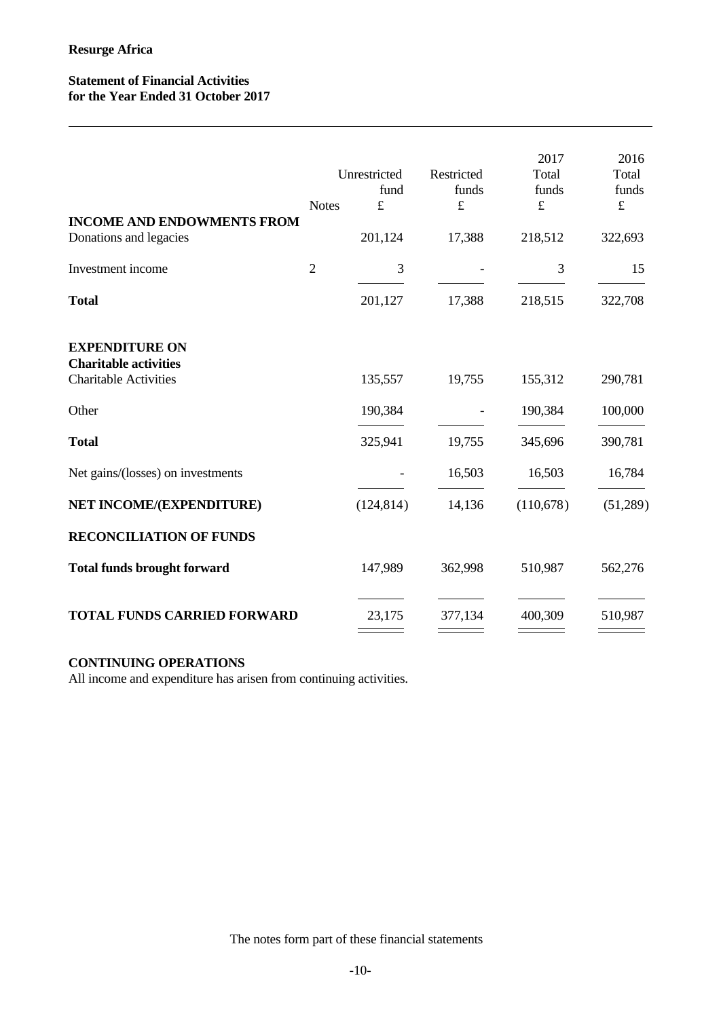# **Statement of Financial Activities for the Year Ended 31 October 2017**

|                                                              | <b>Notes</b>   | Unrestricted<br>fund<br>$\pounds$ | Restricted<br>funds<br>£ | 2017<br>Total<br>funds<br>$\pounds$ | 2016<br>Total<br>funds<br>$\pounds$ |
|--------------------------------------------------------------|----------------|-----------------------------------|--------------------------|-------------------------------------|-------------------------------------|
| <b>INCOME AND ENDOWMENTS FROM</b><br>Donations and legacies  |                | 201,124                           | 17,388                   | 218,512                             | 322,693                             |
| Investment income                                            | $\overline{2}$ | 3                                 |                          | 3                                   | 15                                  |
| <b>Total</b>                                                 |                | 201,127                           | 17,388                   | 218,515                             | 322,708                             |
| <b>EXPENDITURE ON</b>                                        |                |                                   |                          |                                     |                                     |
| <b>Charitable activities</b><br><b>Charitable Activities</b> |                | 135,557                           | 19,755                   | 155,312                             | 290,781                             |
| Other                                                        |                | 190,384                           | $\overline{\phantom{a}}$ | 190,384                             | 100,000                             |
| <b>Total</b>                                                 |                | 325,941                           | 19,755                   | 345,696                             | 390,781                             |
| Net gains/(losses) on investments                            |                |                                   | 16,503                   | 16,503                              | 16,784                              |
| NET INCOME/(EXPENDITURE)                                     |                | (124, 814)                        | 14,136                   | (110,678)                           | (51,289)                            |
| <b>RECONCILIATION OF FUNDS</b>                               |                |                                   |                          |                                     |                                     |
| <b>Total funds brought forward</b>                           |                | 147,989                           | 362,998                  | 510,987                             | 562,276                             |
| <b>TOTAL FUNDS CARRIED FORWARD</b>                           |                | 23,175                            | 377,134                  | 400,309                             | 510,987                             |
|                                                              |                |                                   |                          |                                     |                                     |

# **CONTINUING OPERATIONS**

All income and expenditure has arisen from continuing activities.

The notes form part of these financial statements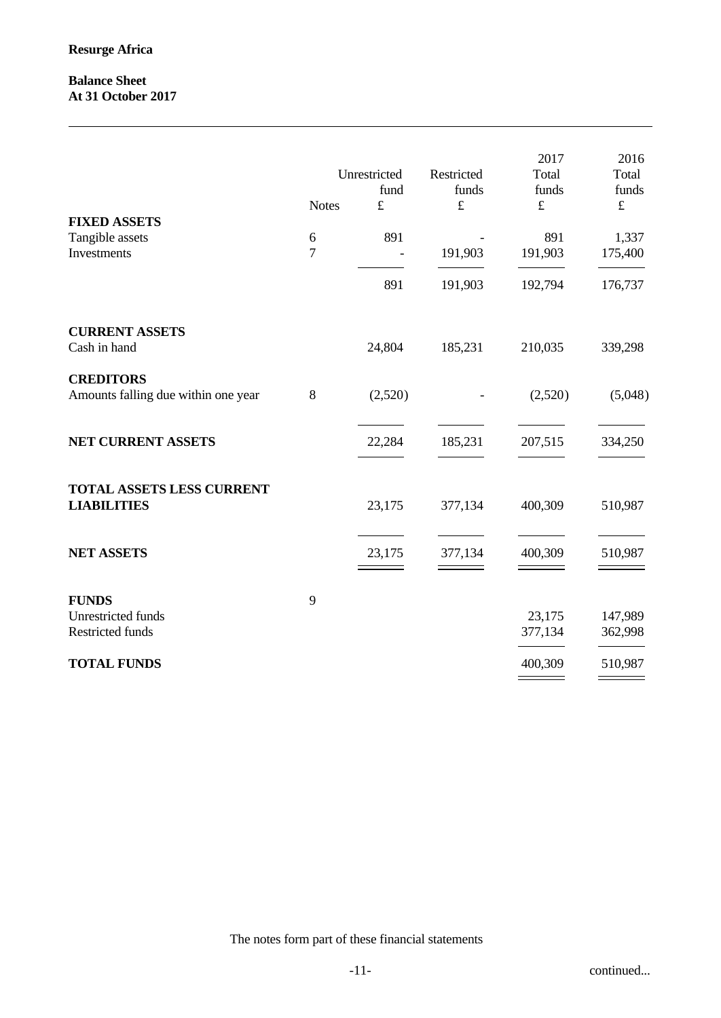# **Balance Sheet At 31 October 2017**

|                                                         | <b>Notes</b>        | Unrestricted<br>fund<br>$\pounds$ | Restricted<br>funds<br>$\pounds$ | 2017<br>Total<br>funds<br>$\pounds$ | 2016<br>Total<br>funds<br>$\mathbf f$ |
|---------------------------------------------------------|---------------------|-----------------------------------|----------------------------------|-------------------------------------|---------------------------------------|
| <b>FIXED ASSETS</b><br>Tangible assets<br>Investments   | 6<br>$\overline{7}$ | 891<br>$\overline{\phantom{a}}$   | 191,903                          | 891<br>191,903                      | 1,337<br>175,400                      |
|                                                         |                     | 891                               | 191,903                          | 192,794                             | 176,737                               |
| <b>CURRENT ASSETS</b><br>Cash in hand                   |                     | 24,804                            | 185,231                          | 210,035                             | 339,298                               |
| <b>CREDITORS</b><br>Amounts falling due within one year | $\,8\,$             | (2,520)                           |                                  | (2,520)                             | (5,048)                               |
| NET CURRENT ASSETS                                      |                     | 22,284                            | 185,231                          | 207,515                             | 334,250                               |
| TOTAL ASSETS LESS CURRENT<br><b>LIABILITIES</b>         |                     | 23,175                            | 377,134                          | 400,309                             | 510,987                               |
| <b>NET ASSETS</b>                                       |                     | 23,175                            | 377,134                          | 400,309                             | 510,987                               |
| <b>FUNDS</b><br>Unrestricted funds<br>Restricted funds  | 9                   |                                   |                                  | 23,175<br>377,134                   | 147,989<br>362,998                    |
| <b>TOTAL FUNDS</b>                                      |                     |                                   |                                  | 400,309                             | 510,987<br>======                     |

The notes form part of these financial statements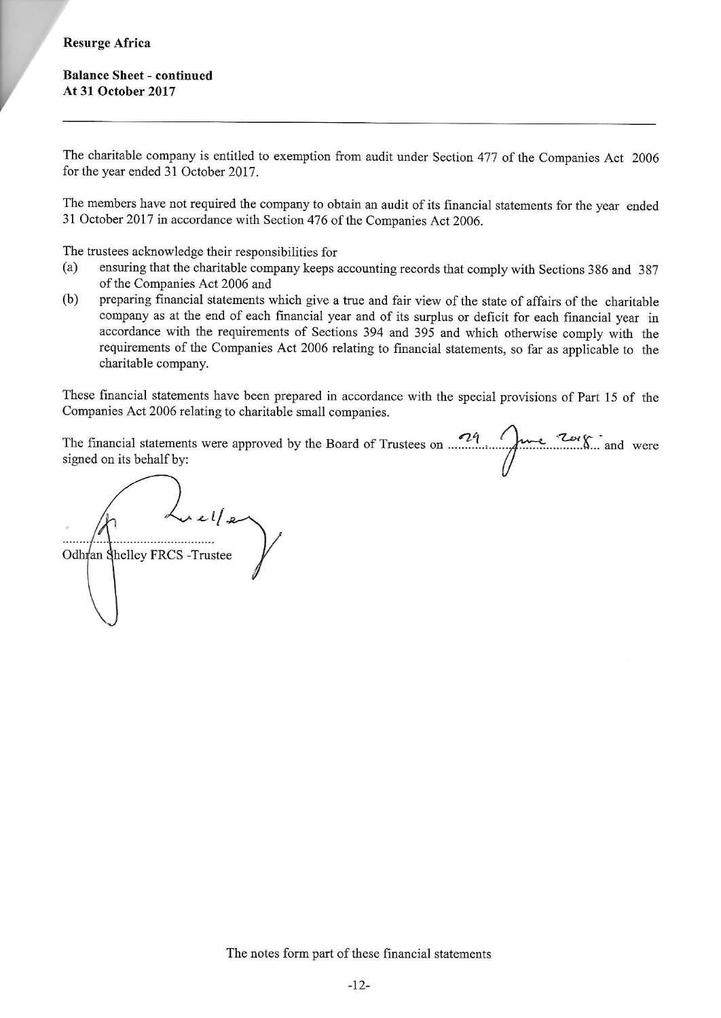# **Resurge Africa**

The charitable company is entitled to exemption from audit under Section 477 of the Companies Act 2006 for the year ended 31 October 2017.

The members have not required the company to obtain an audit of its financial statements for the year ended 31 October 2017 in accordance with Section 476 of the Companies Act 2006.

The trustees acknowledge their responsibilities for

- ensuring that the charitable company keeps accounting records that comply with Sections 386 and 387  $(a)$ of the Companies Act 2006 and
- preparing financial statements which give a true and fair view of the state of affairs of the charitable  $(b)$ company as at the end of each financial year and of its surplus or deficit for each financial year in accordance with the requirements of Sections 394 and 395 and which otherwise comply with the requirements of the Companies Act 2006 relating to financial statements, so far as applicable to the charitable company.

These financial statements have been prepared in accordance with the special provisions of Part 15 of the Companies Act 2006 relating to charitable small companies.

The financial statements were approved by the Board of Trustees on  $24$  over  $20$  and were signed on its behalf by:

 $x$ el $/x$ Odhran Shelley FRCS - Trustee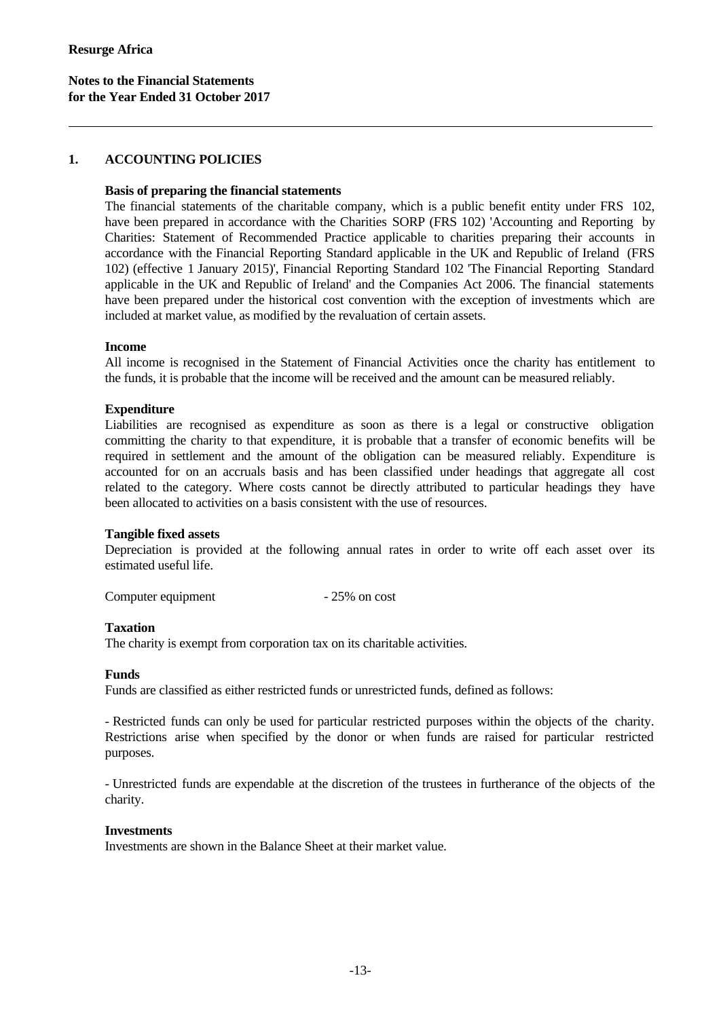#### **1. ACCOUNTING POLICIES**

#### **Basis of preparing the financial statements**

The financial statements of the charitable company, which is a public benefit entity under FRS 102, have been prepared in accordance with the Charities SORP (FRS 102) 'Accounting and Reporting by Charities: Statement of Recommended Practice applicable to charities preparing their accounts in accordance with the Financial Reporting Standard applicable in the UK and Republic of Ireland (FRS 102) (effective 1 January 2015)', Financial Reporting Standard 102 'The Financial Reporting Standard applicable in the UK and Republic of Ireland' and the Companies Act 2006. The financial statements have been prepared under the historical cost convention with the exception of investments which are included at market value, as modified by the revaluation of certain assets.

#### **Income**

All income is recognised in the Statement of Financial Activities once the charity has entitlement to the funds, it is probable that the income will be received and the amount can be measured reliably.

# **Expenditure**

Liabilities are recognised as expenditure as soon as there is a legal or constructive obligation committing the charity to that expenditure, it is probable that a transfer of economic benefits will be required in settlement and the amount of the obligation can be measured reliably. Expenditure is accounted for on an accruals basis and has been classified under headings that aggregate all cost related to the category. Where costs cannot be directly attributed to particular headings they have been allocated to activities on a basis consistent with the use of resources.

#### **Tangible fixed assets**

Depreciation is provided at the following annual rates in order to write off each asset over its estimated useful life.

Computer equipment - 25% on cost

#### **Taxation**

The charity is exempt from corporation tax on its charitable activities.

#### **Funds**

Funds are classified as either restricted funds or unrestricted funds, defined as follows:

- Restricted funds can only be used for particular restricted purposes within the objects of the charity. Restrictions arise when specified by the donor or when funds are raised for particular restricted purposes.

- Unrestricted funds are expendable at the discretion of the trustees in furtherance of the objects of the charity.

#### **Investments**

Investments are shown in the Balance Sheet at their market value.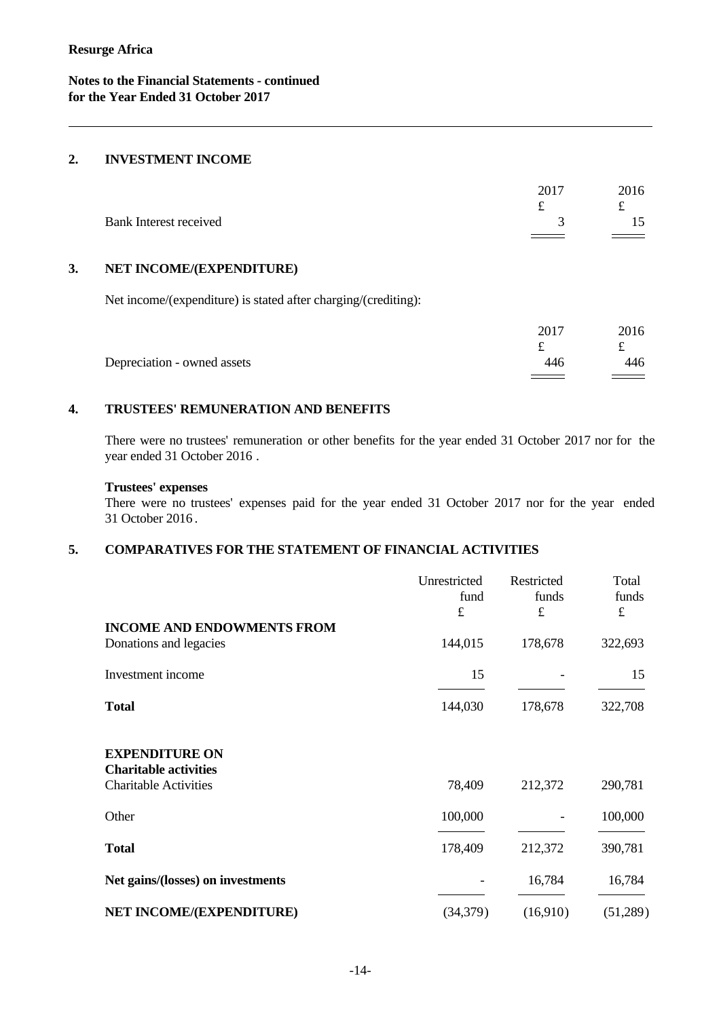## **2. INVESTMENT INCOME**

|    | Bank Interest received                                         | 2017<br>$\pounds$<br>3 | 2016<br>£<br>15  |  |
|----|----------------------------------------------------------------|------------------------|------------------|--|
| 3. | NET INCOME/(EXPENDITURE)                                       |                        |                  |  |
|    | Net income/(expenditure) is stated after charging/(crediting): |                        |                  |  |
|    | Depreciation - owned assets                                    | 2017<br>£<br>446       | 2016<br>£<br>446 |  |
|    |                                                                |                        |                  |  |

# **4. TRUSTEES' REMUNERATION AND BENEFITS**

There were no trustees' remuneration or other benefits for the year ended 31 October 2017 nor for the year ended 31 October 2016 .

#### **Trustees' expenses**

There were no trustees' expenses paid for the year ended 31 October 2017 nor for the year ended 31 October 2016 .

# **5. COMPARATIVES FOR THE STATEMENT OF FINANCIAL ACTIVITIES**

|                                                                                       | Unrestricted<br>fund<br>$\pounds$ | Restricted<br>funds<br>£ | Total<br>funds<br>$\pounds$ |
|---------------------------------------------------------------------------------------|-----------------------------------|--------------------------|-----------------------------|
| <b>INCOME AND ENDOWMENTS FROM</b>                                                     |                                   |                          |                             |
| Donations and legacies                                                                | 144,015                           | 178,678                  | 322,693                     |
| Investment income                                                                     | 15                                |                          | 15                          |
| <b>Total</b>                                                                          | 144,030                           | 178,678                  | 322,708                     |
| <b>EXPENDITURE ON</b><br><b>Charitable activities</b><br><b>Charitable Activities</b> | 78,409                            | 212,372                  | 290,781                     |
| Other                                                                                 | 100,000                           |                          | 100,000                     |
| <b>Total</b>                                                                          | 178,409                           | 212,372                  | 390,781                     |
| Net gains/(losses) on investments                                                     |                                   | 16,784                   | 16,784                      |
| NET INCOME/(EXPENDITURE)                                                              | (34, 379)                         | (16,910)                 | (51,289)                    |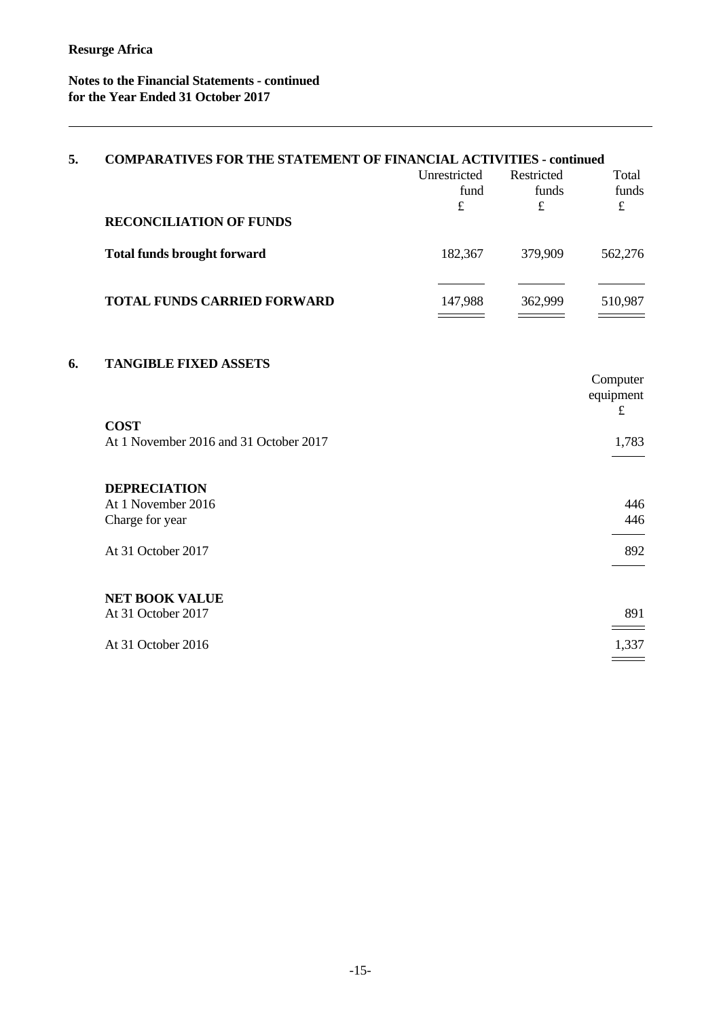# **Notes to the Financial Statements - continued for the Year Ended 31 October 2017**

| 5. | <b>COMPARATIVES FOR THE STATEMENT OF FINANCIAL ACTIVITIES - continued</b> |              |            |            |  |
|----|---------------------------------------------------------------------------|--------------|------------|------------|--|
|    |                                                                           | Unrestricted | Restricted | Total      |  |
|    |                                                                           | fund<br>£    | funds<br>£ | funds<br>£ |  |
|    | <b>RECONCILIATION OF FUNDS</b>                                            |              |            |            |  |
|    | <b>Total funds brought forward</b>                                        | 182,367      | 379,909    | 562,276    |  |
|    | <b>TOTAL FUNDS CARRIED FORWARD</b>                                        | 147,988      | 362,999    | 510,987    |  |
|    |                                                                           |              |            |            |  |
| 6. | <b>TANGIBLE FIXED ASSETS</b>                                              |              |            |            |  |
|    |                                                                           |              |            | Computer   |  |

|                                        | $\sim$ $\sim$ $\sim$ $\sim$ $\sim$ $\sim$ $\sim$<br>equipment<br>$\pounds$ |
|----------------------------------------|----------------------------------------------------------------------------|
| <b>COST</b>                            |                                                                            |
| At 1 November 2016 and 31 October 2017 | 1,783                                                                      |
| <b>DEPRECIATION</b>                    |                                                                            |
| At 1 November 2016                     | 446                                                                        |
| Charge for year                        | 446                                                                        |
|                                        |                                                                            |
| At 31 October 2017                     | 892                                                                        |
|                                        |                                                                            |
| <b>NET BOOK VALUE</b>                  |                                                                            |
| At 31 October 2017                     | 891                                                                        |
|                                        |                                                                            |
| At 31 October 2016                     | 1,337                                                                      |
|                                        |                                                                            |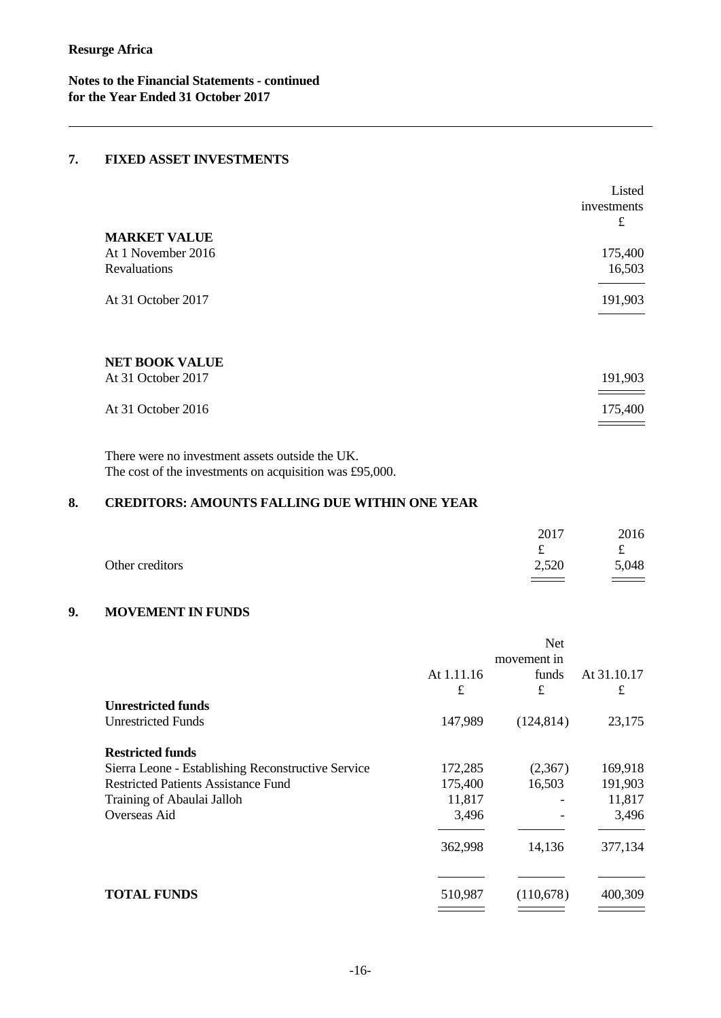**Notes to the Financial Statements - continued for the Year Ended 31 October 2017**

## **7. FIXED ASSET INVESTMENTS**

|                       | Listed      |
|-----------------------|-------------|
|                       | investments |
|                       | £           |
| <b>MARKET VALUE</b>   |             |
| At 1 November 2016    | 175,400     |
| Revaluations          | 16,503      |
|                       |             |
| At 31 October 2017    | 191,903     |
|                       |             |
|                       |             |
|                       |             |
| <b>NET BOOK VALUE</b> |             |
| At 31 October 2017    | 191,903     |
|                       |             |
| At 31 October 2016    | 175,400     |
|                       |             |
|                       |             |

There were no investment assets outside the UK. The cost of the investments on acquisition was £95,000.

# **8. CREDITORS: AMOUNTS FALLING DUE WITHIN ONE YEAR**

|                 | 2017                      | 2016                       |
|-----------------|---------------------------|----------------------------|
|                 | $\widetilde{\phantom{m}}$ | ىە                         |
| Other creditors | 2,520                     | 5,048                      |
|                 |                           | $\equiv$ $\equiv$ $\equiv$ |

# **9. MOVEMENT IN FUNDS**

|                                                    |             | <b>Net</b> |             |
|----------------------------------------------------|-------------|------------|-------------|
|                                                    | movement in |            |             |
|                                                    | At 1.11.16  | funds      | At 31.10.17 |
|                                                    | £           | £          | $\pounds$   |
| <b>Unrestricted funds</b>                          |             |            |             |
| <b>Unrestricted Funds</b>                          | 147,989     | (124, 814) | 23,175      |
| <b>Restricted funds</b>                            |             |            |             |
| Sierra Leone - Establishing Reconstructive Service | 172,285     | (2,367)    | 169,918     |
| <b>Restricted Patients Assistance Fund</b>         | 175,400     | 16,503     | 191,903     |
| Training of Abaulai Jalloh                         | 11,817      |            | 11,817      |
| Overseas Aid                                       | 3,496       |            | 3,496       |
|                                                    | 362,998     | 14,136     | 377,134     |
|                                                    |             |            |             |
| <b>TOTAL FUNDS</b>                                 | 510,987     | (110,678)  | 400,309     |
|                                                    |             |            |             |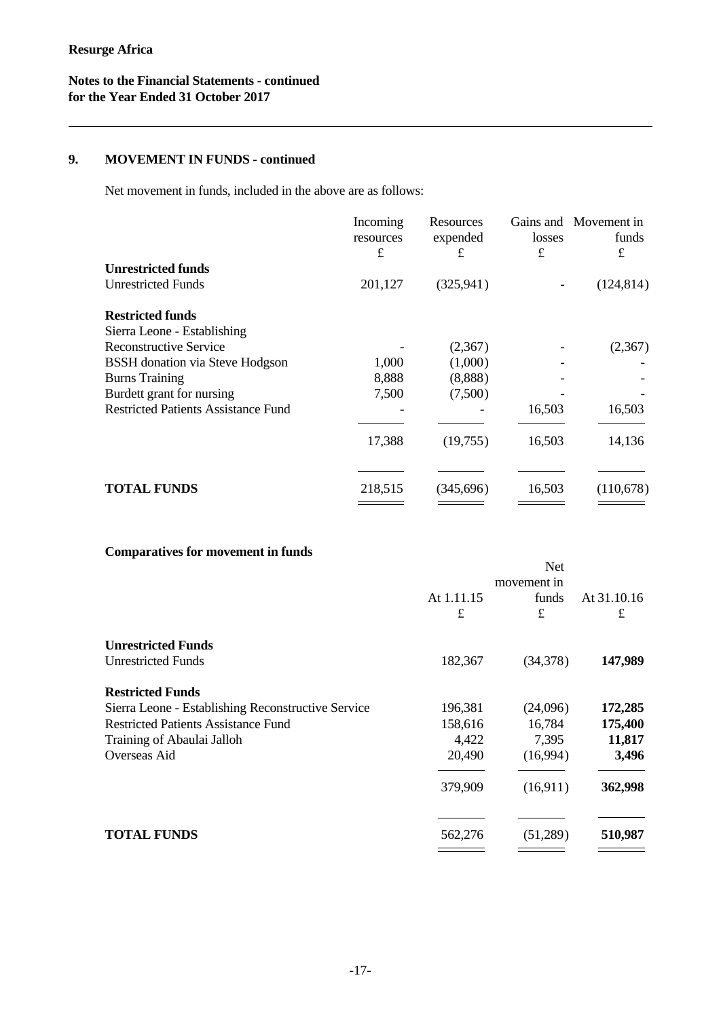# **9. MOVEMENT IN FUNDS - continued**

Net movement in funds, included in the above are as follows:

|                                            | Incoming<br>resources<br>£ | Resources<br>expended<br>£ | losses<br>£ | Gains and Movement in<br>funds<br>£ |  |
|--------------------------------------------|----------------------------|----------------------------|-------------|-------------------------------------|--|
| <b>Unrestricted funds</b>                  |                            |                            |             |                                     |  |
| <b>Unrestricted Funds</b>                  | 201,127                    | (325, 941)                 |             | (124, 814)                          |  |
| <b>Restricted funds</b>                    |                            |                            |             |                                     |  |
| Sierra Leone - Establishing                |                            |                            |             |                                     |  |
| <b>Reconstructive Service</b>              |                            | (2,367)                    |             | (2,367)                             |  |
| <b>BSSH</b> donation via Steve Hodgson     | 1,000                      | (1,000)                    |             |                                     |  |
| <b>Burns Training</b>                      | 8,888                      | (8,888)                    |             |                                     |  |
| Burdett grant for nursing                  | 7,500                      | (7,500)                    |             |                                     |  |
| <b>Restricted Patients Assistance Fund</b> |                            |                            | 16,503      | 16,503                              |  |
|                                            | 17,388                     | (19,755)                   | 16,503      | 14,136                              |  |
|                                            |                            |                            |             |                                     |  |
| <b>TOTAL FUNDS</b>                         | 218,515                    | (345, 696)                 | 16,503      | (110,678)                           |  |
|                                            |                            |                            |             |                                     |  |

# **Comparatives for movement in funds**

|                                                    |             | <b>Net</b> |             |
|----------------------------------------------------|-------------|------------|-------------|
|                                                    | movement in |            |             |
|                                                    | At 1.11.15  | funds      | At 31.10.16 |
|                                                    | £           | £          | £           |
| <b>Unrestricted Funds</b>                          |             |            |             |
| <b>Unrestricted Funds</b>                          | 182,367     | (34,378)   | 147,989     |
| <b>Restricted Funds</b>                            |             |            |             |
| Sierra Leone - Establishing Reconstructive Service | 196,381     | (24,096)   | 172,285     |
| <b>Restricted Patients Assistance Fund</b>         | 158,616     | 16,784     | 175,400     |
| Training of Abaulai Jalloh                         | 4,422       | 7,395      | 11,817      |
| Overseas Aid                                       | 20,490      | (16,994)   | 3,496       |
|                                                    | 379,909     | (16,911)   | 362,998     |
|                                                    |             |            |             |
| <b>TOTAL FUNDS</b>                                 | 562,276     | (51,289)   | 510,987     |
|                                                    |             |            |             |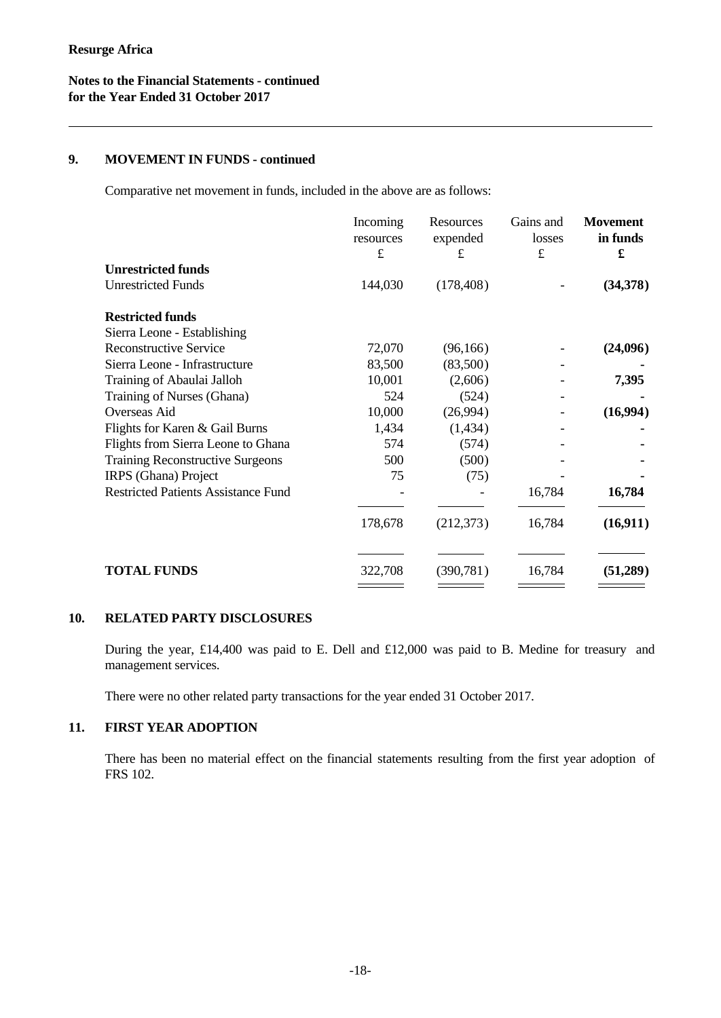#### **9. MOVEMENT IN FUNDS - continued**

Comparative net movement in funds, included in the above are as follows:

|                                            | Incoming<br>resources<br>$\pounds$ | Resources<br>expended<br>£ | Gains and<br>losses<br>$\pounds$ | <b>Movement</b><br>in funds<br>£ |
|--------------------------------------------|------------------------------------|----------------------------|----------------------------------|----------------------------------|
| <b>Unrestricted funds</b>                  |                                    |                            |                                  |                                  |
| <b>Unrestricted Funds</b>                  | 144,030                            | (178, 408)                 |                                  | (34,378)                         |
| <b>Restricted funds</b>                    |                                    |                            |                                  |                                  |
| Sierra Leone - Establishing                |                                    |                            |                                  |                                  |
| <b>Reconstructive Service</b>              | 72,070                             | (96, 166)                  |                                  | (24,096)                         |
| Sierra Leone - Infrastructure              | 83,500                             | (83,500)                   |                                  |                                  |
| Training of Abaulai Jalloh                 | 10,001                             | (2,606)                    |                                  | 7,395                            |
| Training of Nurses (Ghana)                 | 524                                | (524)                      |                                  |                                  |
| Overseas Aid                               | 10,000                             | (26,994)                   |                                  | (16,994)                         |
| Flights for Karen & Gail Burns             | 1,434                              | (1,434)                    |                                  |                                  |
| Flights from Sierra Leone to Ghana         | 574                                | (574)                      |                                  |                                  |
| <b>Training Reconstructive Surgeons</b>    | 500                                | (500)                      |                                  |                                  |
| IRPS (Ghana) Project                       | 75                                 | (75)                       |                                  |                                  |
| <b>Restricted Patients Assistance Fund</b> |                                    |                            | 16,784                           | 16,784                           |
|                                            | 178,678                            | (212, 373)                 | 16,784                           | (16,911)                         |
| <b>TOTAL FUNDS</b>                         | 322,708                            | (390, 781)                 | 16,784                           | (51,289)                         |

#### **10. RELATED PARTY DISCLOSURES**

During the year, £14,400 was paid to E. Dell and £12,000 was paid to B. Medine for treasury and management services.

There were no other related party transactions for the year ended 31 October 2017.

# **11. FIRST YEAR ADOPTION**

There has been no material effect on the financial statements resulting from the first year adoption of FRS 102.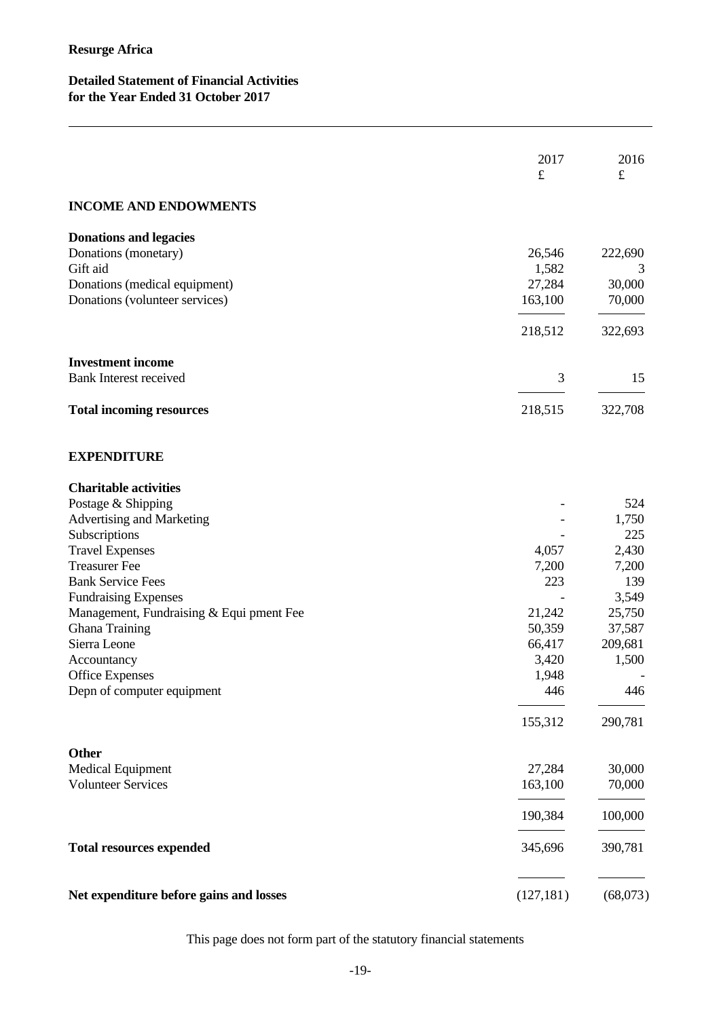# **Detailed Statement of Financial Activities for the Year Ended 31 October 2017**

|                                          | 2017<br>$\pounds$ | 2016<br>$\pounds$ |
|------------------------------------------|-------------------|-------------------|
| <b>INCOME AND ENDOWMENTS</b>             |                   |                   |
| <b>Donations and legacies</b>            |                   |                   |
| Donations (monetary)                     | 26,546            | 222,690           |
| Gift aid                                 | 1,582             | 3                 |
| Donations (medical equipment)            | 27,284            | 30,000            |
| Donations (volunteer services)           | 163,100           | 70,000            |
|                                          | 218,512           | 322,693           |
| <b>Investment income</b>                 |                   |                   |
| <b>Bank Interest received</b>            | 3                 | 15                |
| <b>Total incoming resources</b>          | 218,515           | 322,708           |
| <b>EXPENDITURE</b>                       |                   |                   |
| <b>Charitable activities</b>             |                   |                   |
| Postage & Shipping                       |                   | 524               |
| Advertising and Marketing                |                   | 1,750             |
| Subscriptions                            |                   | 225               |
| <b>Travel Expenses</b>                   | 4,057             | 2,430             |
| <b>Treasurer Fee</b>                     | 7,200             | 7,200             |
| <b>Bank Service Fees</b>                 | 223               | 139               |
| <b>Fundraising Expenses</b>              |                   | 3,549             |
| Management, Fundraising & Equi pment Fee | 21,242            | 25,750            |
| Ghana Training                           | 50,359            | 37,587            |
| Sierra Leone                             | 66,417            | 209,681           |
| Accountancy                              | 3,420             | 1,500             |
| <b>Office Expenses</b>                   | 1,948             |                   |
| Depn of computer equipment               | 446               | 446               |
|                                          | 155,312           | 290,781           |
| <b>Other</b>                             |                   |                   |
| <b>Medical Equipment</b>                 | 27,284            | 30,000            |
| <b>Volunteer Services</b>                | 163,100           | 70,000            |
|                                          | 190,384           | 100,000           |
| <b>Total resources expended</b>          | 345,696           | 390,781           |
| Net expenditure before gains and losses  | (127, 181)        | (68,073)          |

This page does not form part of the statutory financial statements